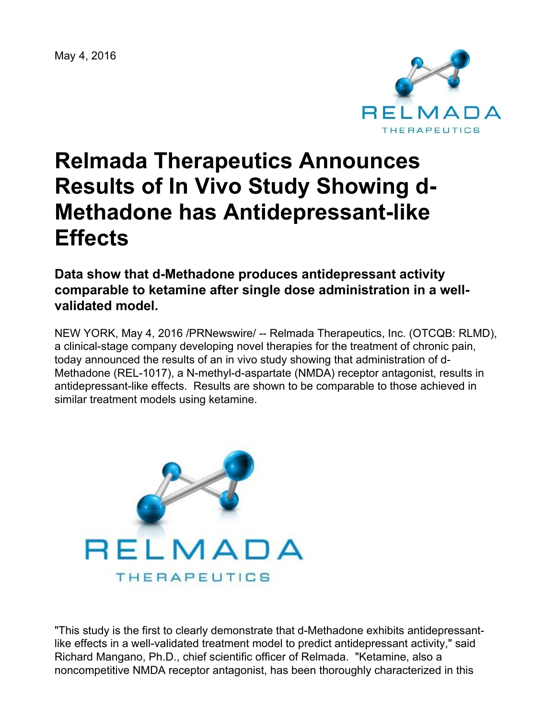May 4, 2016



# **Relmada Therapeutics Announces Results of In Vivo Study Showing d-Methadone has Antidepressant-like Effects**

**Data show that d-Methadone produces antidepressant activity comparable to ketamine after single dose administration in a wellvalidated model.**

NEW YORK, May 4, 2016 /PRNewswire/ -- Relmada Therapeutics, Inc. (OTCQB: RLMD), a clinical-stage company developing novel therapies for the treatment of chronic pain, today announced the results of an in vivo study showing that administration of d-Methadone (REL-1017), a N-methyl-d-aspartate (NMDA) receptor antagonist, results in antidepressant-like effects. Results are shown to be comparable to those achieved in similar treatment models using ketamine.



"This study is the first to clearly demonstrate that d-Methadone exhibits antidepressantlike effects in a well-validated treatment model to predict antidepressant activity," said Richard Mangano, Ph.D., chief scientific officer of Relmada. "Ketamine, also a noncompetitive NMDA receptor antagonist, has been thoroughly characterized in this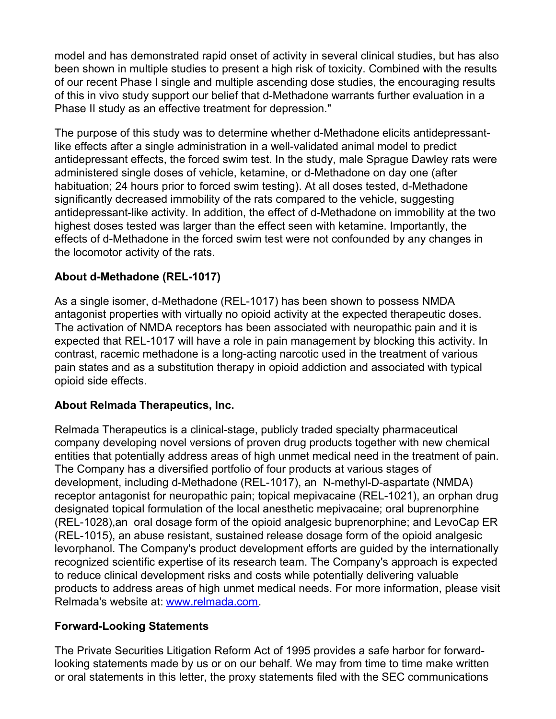model and has demonstrated rapid onset of activity in several clinical studies, but has also been shown in multiple studies to present a high risk of toxicity. Combined with the results of our recent Phase I single and multiple ascending dose studies, the encouraging results of this in vivo study support our belief that d-Methadone warrants further evaluation in a Phase II study as an effective treatment for depression."

The purpose of this study was to determine whether d-Methadone elicits antidepressantlike effects after a single administration in a well-validated animal model to predict antidepressant effects, the forced swim test. In the study, male Sprague Dawley rats were administered single doses of vehicle, ketamine, or d-Methadone on day one (after habituation; 24 hours prior to forced swim testing). At all doses tested, d-Methadone significantly decreased immobility of the rats compared to the vehicle, suggesting antidepressant-like activity. In addition, the effect of d-Methadone on immobility at the two highest doses tested was larger than the effect seen with ketamine. Importantly, the effects of d-Methadone in the forced swim test were not confounded by any changes in the locomotor activity of the rats.

## **About d-Methadone (REL-1017)**

As a single isomer, d-Methadone (REL-1017) has been shown to possess NMDA antagonist properties with virtually no opioid activity at the expected therapeutic doses. The activation of NMDA receptors has been associated with neuropathic pain and it is expected that REL-1017 will have a role in pain management by blocking this activity. In contrast, racemic methadone is a long-acting narcotic used in the treatment of various pain states and as a substitution therapy in opioid addiction and associated with typical opioid side effects.

## **About Relmada Therapeutics, Inc.**

Relmada Therapeutics is a clinical-stage, publicly traded specialty pharmaceutical company developing novel versions of proven drug products together with new chemical entities that potentially address areas of high unmet medical need in the treatment of pain. The Company has a diversified portfolio of four products at various stages of development, including d-Methadone (REL-1017), an N-methyl-D-aspartate (NMDA) receptor antagonist for neuropathic pain; topical mepivacaine (REL-1021), an orphan drug designated topical formulation of the local anesthetic mepivacaine; oral buprenorphine (REL-1028),an oral dosage form of the opioid analgesic buprenorphine; and LevoCap ER (REL-1015), an abuse resistant, sustained release dosage form of the opioid analgesic levorphanol. The Company's product development efforts are guided by the internationally recognized scientific expertise of its research team. The Company's approach is expected to reduce clinical development risks and costs while potentially delivering valuable products to address areas of high unmet medical needs. For more information, please visit Relmada's website at: [www.relmada.com](http://www.relmada.com/).

## **Forward-Looking Statements**

The Private Securities Litigation Reform Act of 1995 provides a safe harbor for forwardlooking statements made by us or on our behalf. We may from time to time make written or oral statements in this letter, the proxy statements filed with the SEC communications